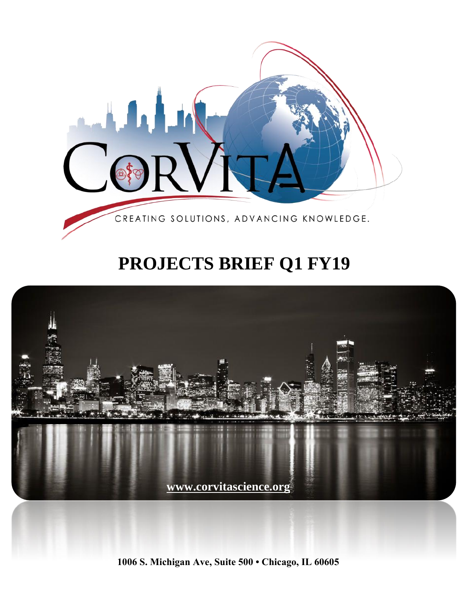

# **PROJECTS BRIEF Q1 FY19**



**1006 S. Michigan Ave, Suite 500 • Chicago, IL 60605**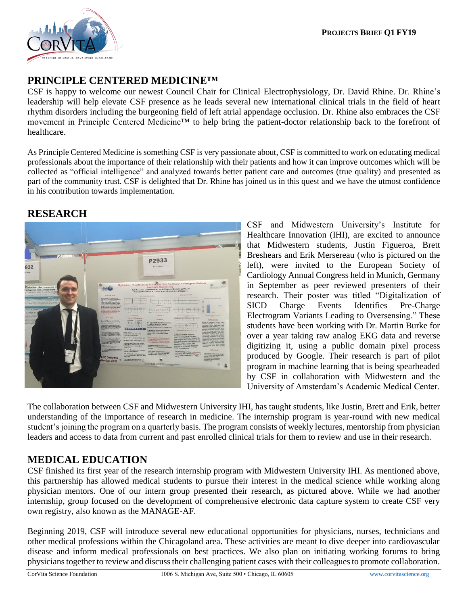

### **PRINCIPLE CENTERED MEDICINE™**

CSF is happy to welcome our newest Council Chair for Clinical Electrophysiology, Dr. David Rhine. Dr. Rhine's leadership will help elevate CSF presence as he leads several new international clinical trials in the field of heart rhythm disorders including the burgeoning field of left atrial appendage occlusion. Dr. Rhine also embraces the CSF movement in Principle Centered Medicine™ to help bring the patient-doctor relationship back to the forefront of healthcare.

As Principle Centered Medicine is something CSF is very passionate about, CSF is committed to work on educating medical professionals about the importance of their relationship with their patients and how it can improve outcomes which will be collected as "official intelligence" and analyzed towards better patient care and outcomes (true quality) and presented as part of the community trust. CSF is delighted that Dr. Rhine has joined us in this quest and we have the utmost confidence in his contribution towards implementation.

#### **RESEARCH**



CSF and Midwestern University's Institute for Healthcare Innovation (IHI), are excited to announce that Midwestern students, Justin Figueroa, Brett Breshears and Erik Mersereau (who is pictured on the left), were invited to the European Society of Cardiology Annual Congress held in Munich, Germany in September as peer reviewed presenters of their research. Their poster was titled "Digitalization of SICD Charge Events Identifies Pre-Charge Electrogram Variants Leading to Oversensing." These students have been working with Dr. Martin Burke for over a year taking raw analog EKG data and reverse digitizing it, using a public domain pixel process produced by Google. Their research is part of pilot program in machine learning that is being spearheaded by CSF in collaboration with Midwestern and the University of Amsterdam's Academic Medical Center.

The collaboration between CSF and Midwestern University IHI, has taught students, like Justin, Brett and Erik, better understanding of the importance of research in medicine. The internship program is year-round with new medical student's joining the program on a quarterly basis. The program consists of weekly lectures, mentorship from physician leaders and access to data from current and past enrolled clinical trials for them to review and use in their research.

## **MEDICAL EDUCATION**

CSF finished its first year of the research internship program with Midwestern University IHI. As mentioned above, this partnership has allowed medical students to pursue their interest in the medical science while working along physician mentors. One of our intern group presented their research, as pictured above. While we had another internship, group focused on the development of comprehensive electronic data capture system to create CSF very own registry, also known as the MANAGE-AF.

Beginning 2019, CSF will introduce several new educational opportunities for physicians, nurses, technicians and other medical professions within the Chicagoland area. These activities are meant to dive deeper into cardiovascular disease and inform medical professionals on best practices. We also plan on initiating working forums to bring physicians together to review and discuss their challenging patient cases with their colleagues to promote collaboration.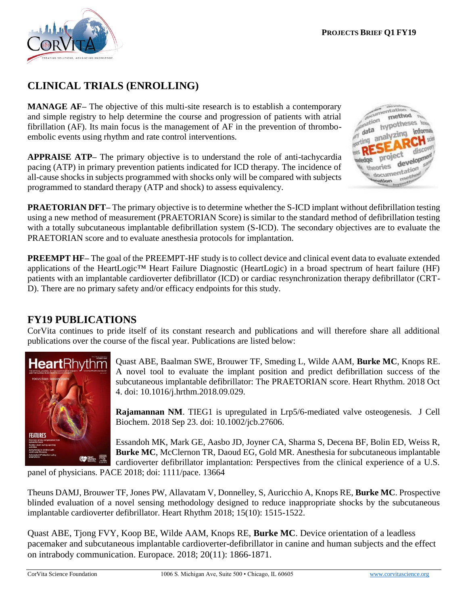

# **CLINICAL TRIALS (ENROLLING)**

**MANAGE AF–** The objective of this multi-site research is to establish a contemporary and simple registry to help determine the course and progression of patients with atrial fibrillation (AF). Its main focus is the management of AF in the prevention of thromboembolic events using rhythm and rate control interventions.

**APPRAISE ATP–** The primary objective is to understand the role of anti-tachycardia pacing (ATP) in primary prevention patients indicated for ICD therapy. The incidence of all-cause shocks in subjects programmed with shocks only will be compared with subjects programmed to standard therapy (ATP and shock) to assess equivalency.



**PRAETORIAN DFT–** The primary objective is to determine whether the S-ICD implant without defibrillation testing using a new method of measurement (PRAETORIAN Score) is similar to the standard method of defibrillation testing with a totally subcutaneous implantable defibrillation system (S-ICD). The secondary objectives are to evaluate the PRAETORIAN score and to evaluate anesthesia protocols for implantation.

**PREEMPT HF–** The goal of the PREEMPT-HF study is to collect device and clinical event data to evaluate extended applications of the HeartLogic™ Heart Failure Diagnostic (HeartLogic) in a broad spectrum of heart failure (HF) patients with an implantable cardioverter defibrillator (ICD) or cardiac resynchronization therapy defibrillator (CRT-D). There are no primary safety and/or efficacy endpoints for this study.

## **FY19 PUBLICATIONS**

CorVita continues to pride itself of its constant research and publications and will therefore share all additional publications over the course of the fiscal year. Publications are listed below:



Quast ABE, Baalman SWE, Brouwer TF, Smeding L, Wilde AAM, **Burke MC**, Knops RE. A novel tool to evaluate the implant position and predict defibrillation success of the subcutaneous implantable defibrillator: The PRAETORIAN score. Heart Rhythm. 2018 Oct 4. doi: 10.1016/j.hrthm.2018.09.029.

**Rajamannan NM**. TIEG1 is upregulated in Lrp5/6-mediated valve osteogenesis. J Cell Biochem. 2018 Sep 23. doi: 10.1002/jcb.27606.

Essandoh MK, Mark GE, Aasbo JD, Joyner CA, Sharma S, Decena BF, Bolin ED, Weiss R, **Burke MC**, McClernon TR, Daoud EG, Gold MR. Anesthesia for subcutaneous implantable cardioverter defibrillator implantation: Perspectives from the clinical experience of a U.S.

panel of physicians. PACE 2018; doi: 1111/pace. 13664

Theuns DAMJ, Brouwer TF, Jones PW, Allavatam V, Donnelley, S, Auricchio A, Knops RE, **Burke MC**. Prospective blinded evaluation of a novel sensing methodology designed to reduce inappropriate shocks by the subcutaneous implantable cardioverter defibrillator. Heart Rhythm 2018; 15(10): 1515-1522.

Quast ABE, Tjong FVY, Koop BE, Wilde AAM, Knops RE, **Burke MC**. Device orientation of a leadless pacemaker and subcutaneous implantable cardioverter-defibrillator in canine and human subjects and the effect on intrabody communication. Europace. 2018; 20(11): 1866-1871.